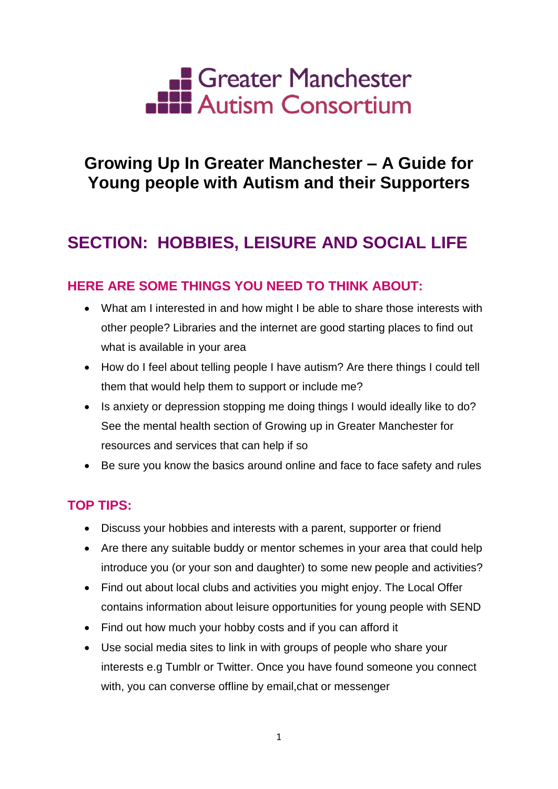

# **Growing Up In Greater Manchester – A Guide for Young people with Autism and their Supporters**

# **SECTION: HOBBIES, LEISURE AND SOCIAL LIFE**

## **HERE ARE SOME THINGS YOU NEED TO THINK ABOUT:**

- What am I interested in and how might I be able to share those interests with other people? Libraries and the internet are good starting places to find out what is available in your area
- How do I feel about telling people I have autism? Are there things I could tell them that would help them to support or include me?
- Is anxiety or depression stopping me doing things I would ideally like to do? See the mental health section of Growing up in Greater Manchester for resources and services that can help if so
- Be sure you know the basics around online and face to face safety and rules

## **TOP TIPS:**

- Discuss your hobbies and interests with a parent, supporter or friend
- Are there any suitable buddy or mentor schemes in your area that could help introduce you (or your son and daughter) to some new people and activities?
- Find out about local clubs and activities you might enjoy. The Local Offer contains information about leisure opportunities for young people with SEND
- Find out how much your hobby costs and if you can afford it
- Use social media sites to link in with groups of people who share your interests e.g Tumblr or Twitter. Once you have found someone you connect with, you can converse offline by email,chat or messenger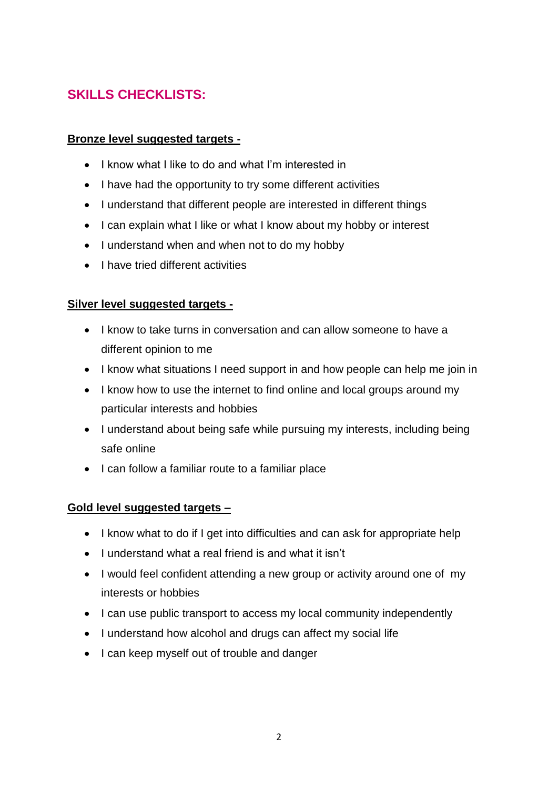# **SKILLS CHECKLISTS:**

### **Bronze level suggested targets -**

- I know what I like to do and what I'm interested in
- I have had the opportunity to try some different activities
- I understand that different people are interested in different things
- I can explain what I like or what I know about my hobby or interest
- I understand when and when not to do my hobby
- I have tried different activities

### **Silver level suggested targets -**

- I know to take turns in conversation and can allow someone to have a different opinion to me
- I know what situations I need support in and how people can help me join in
- I know how to use the internet to find online and local groups around my particular interests and hobbies
- I understand about being safe while pursuing my interests, including being safe online
- I can follow a familiar route to a familiar place

### **Gold level suggested targets –**

- I know what to do if I get into difficulties and can ask for appropriate help
- I understand what a real friend is and what it isn't
- I would feel confident attending a new group or activity around one of my interests or hobbies
- I can use public transport to access my local community independently
- I understand how alcohol and drugs can affect my social life
- I can keep myself out of trouble and danger